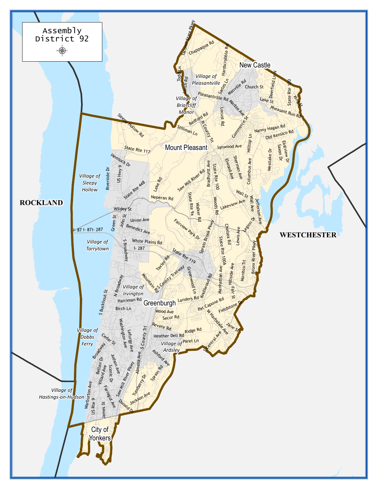